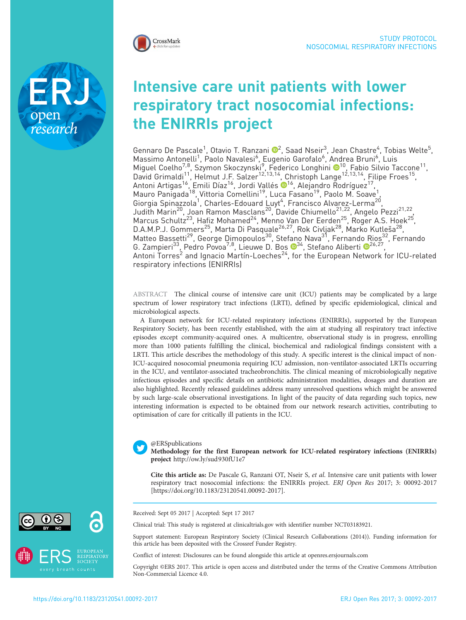

research

# Intensive care unit patients with lower respiratory tract nosocomial infections: the ENIRRIs project

Gennaro De Pascale<sup>1</sup>, Otavio T. Ranzani <sup>®[2](http://orcid.org/0000-0002-4677-6862)</sup>, Saad Nseir<sup>3</sup>, Jean Chastre<sup>4</sup>, Tobias Welte<sup>5</sup>, Massimo Antonelli<sup>1</sup>, Paolo Navalesi<sup>6</sup>, Eugenio Garofalo<sup>6</sup>, Andrea Bruni<sup>6</sup> , Luis Miguel Coelho<sup>7,8</sup>, Szymon Skoczynski<sup>9</sup>, Federico Longhini <sup>@10</sup>, Fabio Silvio Taccone<sup>11</sup>, David Grimaldi<sup>11</sup>, Helmut J.F. Salzer<sup>12,13,14</sup>, Christoph Lange<sup>12,13,14</sup>, Filipe Froes<sup>15</sup>, Antoni Artigas<sup>16</sup>, Emili Díaz<sup>16</sup>, Jordi Vallés ®<sup>16</sup>, Alejandro Rodríguez<sup>17</sup>, Mauro Panigada<sup>18</sup>, Vittoria Comellini<sup>19</sup>, Luca Fasano<sup>19</sup>, Paolo M. Soave<sup>1</sup>, Giorgia Spinazzola<sup>1</sup>, Charles-Edouard Luyt<sup>4</sup>, Francisco Alvarez-Lerma<sup>20</sup>, Judith Marin<sup>20</sup>, Joan Ramon Masclans<sup>20</sup>, Davide Chiumello<sup>21,22</sup>, Angelo Pezzi<sup>21,22</sup>, Marcus Schultz<sup>23</sup>, Hafiz Mohamed<sup>24</sup>, Menno Van Der Eerden<sup>25</sup>, Roger A.S. Hoek<sup>25</sup>, D.A.M.P.J. Gommers<sup>25</sup>, Marta Di Pasquale<sup>26,27</sup>, Rok Civljak<sup>28</sup>, Marko Kutleša<sup>28</sup>, Matteo Bassetti<sup>29</sup>, George Dimopoulos<sup>30</sup>, Stefano Nava<sup>31</sup>, Fernando Rios<sup>32</sup>, Fernando G. Zampieri<sup>[3](http://orcid.org/0000-0003-2911-4549)3</sup>, Pedro Povoa<sup>7,8</sup>, Lieuwe D. Bos <sup>134</sup>, Stefano Aliberti <sup>136,[2](http://orcid.org/0000-0002-0090-4531)7</sup>, Antoni  $\textsf{Torres}^2$  and Ignacio Martín-Loeches $^{24}$ , for the European Network for ICU-related respiratory infections (ENIRRIs)

ABSTRACT The clinical course of intensive care unit (ICU) patients may be complicated by a large spectrum of lower respiratory tract infections (LRTI), defined by specific epidemiological, clinical and microbiological aspects.

A European network for ICU-related respiratory infections (ENIRRIs), supported by the European Respiratory Society, has been recently established, with the aim at studying all respiratory tract infective episodes except community-acquired ones. A multicentre, observational study is in progress, enrolling more than 1000 patients fulfilling the clinical, biochemical and radiological findings consistent with a LRTI. This article describes the methodology of this study. A specific interest is the clinical impact of non-ICU-acquired nosocomial pneumonia requiring ICU admission, non-ventilator-associated LRTIs occurring in the ICU, and ventilator-associated tracheobronchitis. The clinical meaning of microbiologically negative infectious episodes and specific details on antibiotic administration modalities, dosages and duration are also highlighted. Recently released guidelines address many unresolved questions which might be answered by such large-scale observational investigations. In light of the paucity of data regarding such topics, new interesting information is expected to be obtained from our network research activities, contributing to optimisation of care for critically ill patients in the ICU.

## @ERSpublications

Methodology for the first European network for ICU-related respiratory infections (ENIRRIs) project <http://ow.ly/sud930fU1e7>

Cite this article as: De Pascale G, Ranzani OT, Nseir S, et al. Intensive care unit patients with lower respiratory tract nosocomial infections: the ENIRRIs project. ERJ Open Res 2017; 3: 00092-2017 [\[https://doi.org/10.1183/23120541.00092-2017\].](https://doi.org/10.1183/23120541.00092-2017)

Received: Sept 05 2017 | Accepted: Sept 17 2017

Clinical trial: This study is registered at [clinicaltrials.gov](http://www.clinicaltrials.gov/) with identifier number NCT03183921.

Support statement: European Respiratory Society (Clinical Research Collaborations (2014)). Funding information for this article has been deposited with the [Crossref Funder Registry.](http://www.crossref.org/services/funder-registry/)

Conflict of interest: Disclosures can be found alongside this article at<openres.ersjournals.com>

Copyright ©ERS 2017. This article is open access and distributed under the terms of the Creative Commons Attribution Non-Commercial Licence 4.0.



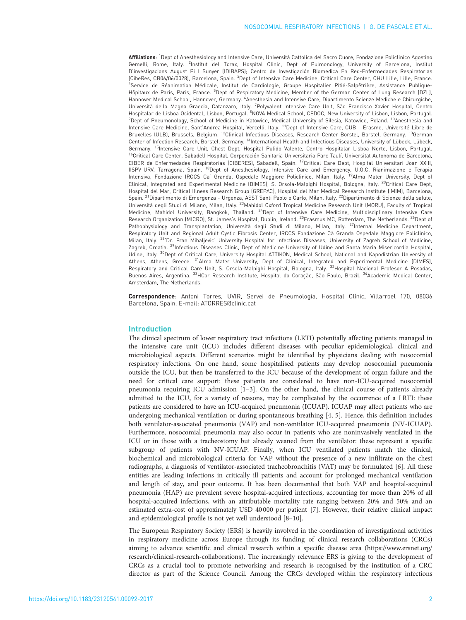Affiliations: <sup>1</sup>Dept of Anesthesiology and Intensive Care, Università Cattolica del Sacro Cuore, Fondazione Policlinico Agostino Gemelli, Rome, Italy. <sup>2</sup>Institut del Torax, Hospital Clinic, Dept of Pulmonology, University of Barcelona, Institut D'investigacions August Pi I Sunyer (IDIBAPS); Centro de Investigación Biomedica En Red-Enfermedades Respiratorias (CibeRes, CB06/06/0028), Barcelona, Spain. <sup>3</sup>Dept of Intensive Care Medicine, Critical Care Center, CHU Lille, Lille, France. 4 Service de Réanimation Médicale, Institut de Cardiologie, Groupe Hospitalier Pitié-Salpêtrière, Assistance Publique-Hôpitaux de Paris, Paris, France. <sup>5</sup>Dept of Respiratory Medicine, Member of the German Center of Lung Research (DZL), Hannover Medical School, Hannover, Germany. <sup>6</sup>Anesthesia and Intensive Care, Dipartimento Scienze Mediche e Chirurgiche, Università della Magna Graecia, Catanzaro, Italy. <sup>7</sup>Polyvalent Intensive Care Unit, São Francisco Xavier Hospital, Centro<br>Hospitalar de Lisboa Ocidental, Lisbon, Portugal. <sup>8</sup>NOVA Medical School, CEDOC, New University of <sup>9</sup>Dept of Pneumonology, School of Medicine in Katowice, Medical University of Silesia, Katowice, Poland. <sup>10</sup>Anesthesia and Intensive Care Medicine, Sant'Andrea Hospital, Vercelli, Italy. 11Dept of Intensive Care, CUB - Erasme, Université Libre de Bruxelles (ULB), Brussels, Belgium. 12Clinical Infectious Diseases, Research Center Borstel, Borstel, Germany. 13German Center of Infection Research, Borstel, Germany. <sup>14</sup>International Health and Infectious Diseases, University of Lübeck, Lübeck, Germany. <sup>15</sup>Intensive Care Unit, Chest Dept, Hospital Pulido Valente, Centro Hospitalar Lisboa Norte, Lisbon, Portugal. <sup>16</sup>Critical Care Center, Sabadell Hospital, Corporación Sanitaria Universitaria Parc Taulí, Universitat Autonoma de Barcelona, CIBER de Enfermedades Respiratorias (CIBERES), Sabadell, Spain. 17Critical Care Dept, Hospital Universitari Joan XXIII, IISPV-URV, Tarragona, Spain. 18Dept of Anesthesiology, Intensive Care and Emergency, U.O.C. Rianimazione e Terapia Intensiva, Fondazione IRCCS Ca' Granda, Ospedale Maggiore Policlinico, Milan, Italy. 19Alma Mater University, Dept of Clinical, Integrated and Experimental Medicine (DIMES), S. Orsola-Malpighi Hospital, Bologna, Italy. 20Critical Care Dept, Hospital del Mar, Critical Illness Research Group (GREPAC), Hospital del Mar Medical Research Institute (IMIM), Barcelona, Spain. <sup>21</sup>Dipartimento di Emergenza - Urgenza, ASST Santi Paolo e Carlo, Milan, Italy. <sup>22</sup>Dipartimento di Scienze della salute, Università degli Studi di Milano, Milan, Italy. 23Mahidol Oxford Tropical Medicine Research Unit (MORU), Faculty of Tropical Medicine, Mahidol University, Bangkok, Thailand. <sup>24</sup>Dept of Intensive Care Medicine, Multidisciplinary Intensive Care Research Organization (MICRO), St. James's Hospital, Dublin, Ireland. <sup>25</sup>Erasmus MC, Rotterdam, The Netherlands. <sup>26</sup>Dept of Pathophysiology and Transplantation, Università degli Studi di Milano, Milan, Italy. <sup>27</sup>Internal Medicine Department, Respiratory Unit and Regional Adult Cystic Fibrosis Center, IRCCS Fondazione Cà Granda Ospedale Maggiore Policlinico, Milan, Italy. <sup>28</sup>'Dr. Fran Mihaljevic' University Hospital for Infectious Diseases, University of Zagreb School of Medicine, Zagreb, Croatia. <sup>29</sup>Infectious Diseases Clinic, Dept of Medicine University of Udine and Santa Maria Misericordia Hospital, Udine, Italy. 30Dept of Critical Care, University Hospital ATTIKON, Medical School, National and Kapodistrian University of Athens, Athens, Greece. 31Alma Mater University, Dept of Clinical, Integrated and Experimental Medicine (DIMES), Respiratory and Critical Care Unit, S. Orsola-Malpighi Hospital, Bologna, Italy. <sup>32</sup>Hospital Nacional Profesor A Posadas, Buenos Aires, Argentina. 33HCor Research Institute, Hospital do Coração, São Paulo, Brazil. 34Academic Medical Center, Amsterdam, The Netherlands.

Correspondence: Antoni Torres, UVIR, Servei de Pneumologia, Hospital Clínic, Villarroel 170, 08036 Barcelona, Spain. E-mail: [ATORRES@clinic.cat](mailto:ATORRES@clinic.cat)

### Introduction

The clinical spectrum of lower respiratory tract infections (LRTI) potentially affecting patients managed in the intensive care unit (ICU) includes different diseases with peculiar epidemiological, clinical and microbiological aspects. Different scenarios might be identified by physicians dealing with nosocomial respiratory infections. On one hand, some hospitalised patients may develop nosocomial pneumonia outside the ICU, but then be transferred to the ICU because of the development of organ failure and the need for critical care support: these patients are considered to have non-ICU-acquired nosocomial pneumonia requiring ICU admission [\[1](#page-4-0)–[3](#page-4-0)]. On the other hand, the clinical course of patients already admitted to the ICU, for a variety of reasons, may be complicated by the occurrence of a LRTI: these patients are considered to have an ICU-acquired pneumonia (ICUAP). ICUAP may affect patients who are undergoing mechanical ventilation or during spontaneous breathing [\[4, 5\]](#page-4-0). Hence, this definition includes both ventilator-associated pneumonia (VAP) and non-ventilator ICU-acquired pneumonia (NV-ICUAP). Furthermore, nosocomial pneumonia may also occur in patients who are noninvasively ventilated in the ICU or in those with a tracheostomy but already weaned from the ventilator: these represent a specific subgroup of patients with NV-ICUAP. Finally, when ICU ventilated patients match the clinical, biochemical and microbiological criteria for VAP without the presence of a new infiltrate on the chest radiographs, a diagnosis of ventilator-associated tracheobronchitis (VAT) may be formulated [\[6\]](#page-4-0). All these entities are leading infections in critically ill patients and account for prolonged mechanical ventilation and length of stay, and poor outcome. It has been documented that both VAP and hospital-acquired pneumonia (HAP) are prevalent severe hospital-acquired infections, accounting for more than 20% of all hospital-acquired infections, with an attributable mortality rate ranging between 20% and 50% and an estimated extra-cost of approximately USD 40 000 per patient [[7](#page-4-0)]. However, their relative clinical impact and epidemiological profile is not yet well understood [\[8](#page-4-0)–[10\]](#page-4-0).

The European Respiratory Society (ERS) is heavily involved in the coordination of investigational activities in respiratory medicine across Europe through its funding of clinical research collaborations (CRCs) aiming to advance scientific and clinical research within a specific disease area [\(https://www.ersnet.org/](https://www.ersnet.org/research/clinical-research-collaborations) [research/clinical-research-collaborations](https://www.ersnet.org/research/clinical-research-collaborations)). The increasingly relevance ERS is giving to the development of CRCs as a crucial tool to promote networking and research is recognised by the institution of a CRC director as part of the Science Council. Among the CRCs developed within the respiratory infections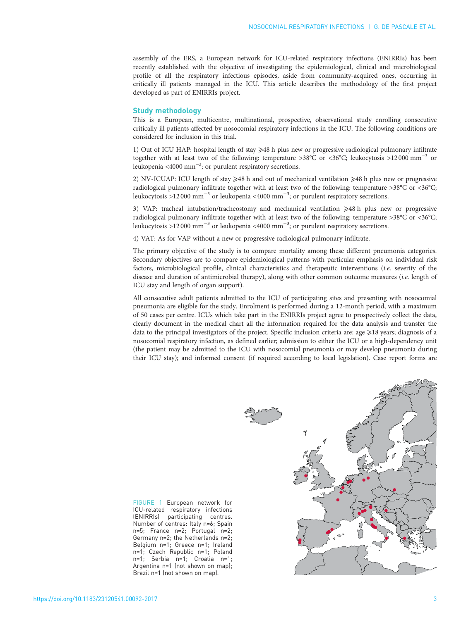<span id="page-2-0"></span>assembly of the ERS, a European network for ICU-related respiratory infections (ENIRRIs) has been recently established with the objective of investigating the epidemiological, clinical and microbiological profile of all the respiratory infectious episodes, aside from community-acquired ones, occurring in critically ill patients managed in the ICU. This article describes the methodology of the first project developed as part of ENIRRIs project.

#### Study methodology

This is a European, multicentre, multinational, prospective, observational study enrolling consecutive critically ill patients affected by nosocomial respiratory infections in the ICU. The following conditions are considered for inclusion in this trial.

1) Out of ICU HAP: hospital length of stay  $\geq$ 48 h plus new or progressive radiological pulmonary infiltrate together with at least two of the following: temperature >38°C or <36°C; leukocytosis >12000 mm−<sup>3</sup> or leukopenia <4000 mm<sup>-3</sup>; or purulent respiratory secretions.

2) NV-ICUAP: ICU length of stay  $\geq 48$  h and out of mechanical ventilation  $\geq 48$  h plus new or progressive radiological pulmonary infiltrate together with at least two of the following: temperature >38°C or <36°C; leukocytosis >12 000 mm−<sup>3</sup> or leukopenia <4000 mm−<sup>3</sup> ; or purulent respiratory secretions.

3) VAP: tracheal intubation/tracheostomy and mechanical ventilation  $\geq 48$  h plus new or progressive radiological pulmonary infiltrate together with at least two of the following: temperature >38°C or <36°C; leukocytosis >12 000 mm−<sup>3</sup> or leukopenia <4000 mm−<sup>3</sup> ; or purulent respiratory secretions.

4) VAT: As for VAP without a new or progressive radiological pulmonary infiltrate.

The primary objective of the study is to compare mortality among these different pneumonia categories. Secondary objectives are to compare epidemiological patterns with particular emphasis on individual risk factors, microbiological profile, clinical characteristics and therapeutic interventions (i.e. severity of the disease and duration of antimicrobial therapy), along with other common outcome measures (i.e. length of ICU stay and length of organ support).

All consecutive adult patients admitted to the ICU of participating sites and presenting with nosocomial pneumonia are eligible for the study. Enrolment is performed during a 12-month period, with a maximum of 50 cases per centre. ICUs which take part in the ENIRRIs project agree to prospectively collect the data, clearly document in the medical chart all the information required for the data analysis and transfer the data to the principal investigators of the project. Specific inclusion criteria are:  $\arg z \geq 18$  years; diagnosis of a nosocomial respiratory infection, as defined earlier; admission to either the ICU or a high-dependency unit (the patient may be admitted to the ICU with nosocomial pneumonia or may develop pneumonia during their ICU stay); and informed consent (if required according to local legislation). Case report forms are

FIGURE 1 European network for ICU-related respiratory infections (ENIRRIs) participating centres. Number of centres: Italy n=6; Spain n=5; France n=2; Portugal n=2; Germany n=2; the Netherlands n=2; Belgium n=1; Greece n=1; Ireland n=1; Czech Republic n=1; Poland n=1; Serbia n=1; Croatia n=1; Argentina n=1 (not shown on map); Brazil n=1 (not shown on map).

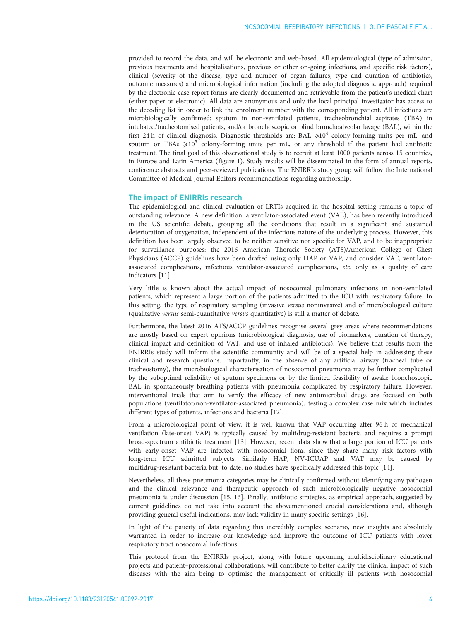provided to record the data, and will be electronic and web-based. All epidemiological (type of admission, previous treatments and hospitalisations, previous or other on-going infections, and specific risk factors), clinical (severity of the disease, type and number of organ failures, type and duration of antibiotics, outcome measures) and microbiological information (including the adopted diagnostic approach) required by the electronic case report forms are clearly documented and retrievable from the patient's medical chart (either paper or electronic). All data are anonymous and only the local principal investigator has access to the decoding list in order to link the enrolment number with the corresponding patient. All infections are microbiologically confirmed: sputum in non-ventilated patients, tracheobronchial aspirates (TBA) in intubated/tracheotomised patients, and/or bronchoscopic or blind bronchoalveolar lavage (BAL), within the first 24 h of clinical diagnosis. Diagnostic thresholds are: BAL  $\geq 10^4$  colony-forming units per mL, and sputum or TBAs  $\geq 10^5$  colony-forming units per mL, or any threshold if the patient had antibiotic treatment. The final goal of this observational study is to recruit at least 1000 patients across 15 countries, in Europe and Latin America ([figure 1](#page-2-0)). Study results will be disseminated in the form of annual reports, conference abstracts and peer-reviewed publications. The ENIRRIs study group will follow the International Committee of Medical Journal Editors recommendations regarding authorship.

#### The impact of ENIRRIs research

The epidemiological and clinical evaluation of LRTIs acquired in the hospital setting remains a topic of outstanding relevance. A new definition, a ventilator-associated event (VAE), has been recently introduced in the US scientific debate, grouping all the conditions that result in a significant and sustained deterioration of oxygenation, independent of the infectious nature of the underlying process. However, this definition has been largely observed to be neither sensitive nor specific for VAP, and to be inappropriate for surveillance purposes: the 2016 American Thoracic Society (ATS)/American College of Chest Physicians (ACCP) guidelines have been drafted using only HAP or VAP, and consider VAE, ventilatorassociated complications, infectious ventilator-associated complications, etc. only as a quality of care indicators [[11](#page-4-0)].

Very little is known about the actual impact of nosocomial pulmonary infections in non-ventilated patients, which represent a large portion of the patients admitted to the ICU with respiratory failure. In this setting, the type of respiratory sampling (invasive versus noninvasive) and of microbiological culture (qualitative versus semi-quantitative versus quantitative) is still a matter of debate.

Furthermore, the latest 2016 ATS/ACCP guidelines recognise several grey areas where recommendations are mostly based on expert opinions (microbiological diagnosis, use of biomarkers, duration of therapy, clinical impact and definition of VAT, and use of inhaled antibiotics). We believe that results from the ENIRRIs study will inform the scientific community and will be of a special help in addressing these clinical and research questions. Importantly, in the absence of any artificial airway (tracheal tube or tracheostomy), the microbiological characterisation of nosocomial pneumonia may be further complicated by the suboptimal reliability of sputum specimens or by the limited feasibility of awake bronchoscopic BAL in spontaneously breathing patients with pneumonia complicated by respiratory failure. However, interventional trials that aim to verify the efficacy of new antimicrobial drugs are focused on both populations (ventilator/non-ventilator-associated pneumonia), testing a complex case mix which includes different types of patients, infections and bacteria [\[12\]](#page-4-0).

From a microbiological point of view, it is well known that VAP occurring after 96 h of mechanical ventilation (late-onset VAP) is typically caused by multidrug-resistant bacteria and requires a prompt broad-spectrum antibiotic treatment [\[13\]](#page-4-0). However, recent data show that a large portion of ICU patients with early-onset VAP are infected with nosocomial flora, since they share many risk factors with long-term ICU admitted subjects. Similarly HAP, NV-ICUAP and VAT may be caused by multidrug-resistant bacteria but, to date, no studies have specifically addressed this topic [[14\]](#page-4-0).

Nevertheless, all these pneumonia categories may be clinically confirmed without identifying any pathogen and the clinical relevance and therapeutic approach of such microbiologically negative nosocomial pneumonia is under discussion [\[15](#page-4-0), [16\]](#page-4-0). Finally, antibiotic strategies, as empirical approach, suggested by current guidelines do not take into account the abovementioned crucial considerations and, although providing general useful indications, may lack validity in many specific settings [[16](#page-4-0)].

In light of the paucity of data regarding this incredibly complex scenario, new insights are absolutely warranted in order to increase our knowledge and improve the outcome of ICU patients with lower respiratory tract nosocomial infections.

This protocol from the ENIRRIs project, along with future upcoming multidisciplinary educational projects and patient–professional collaborations, will contribute to better clarify the clinical impact of such diseases with the aim being to optimise the management of critically ill patients with nosocomial